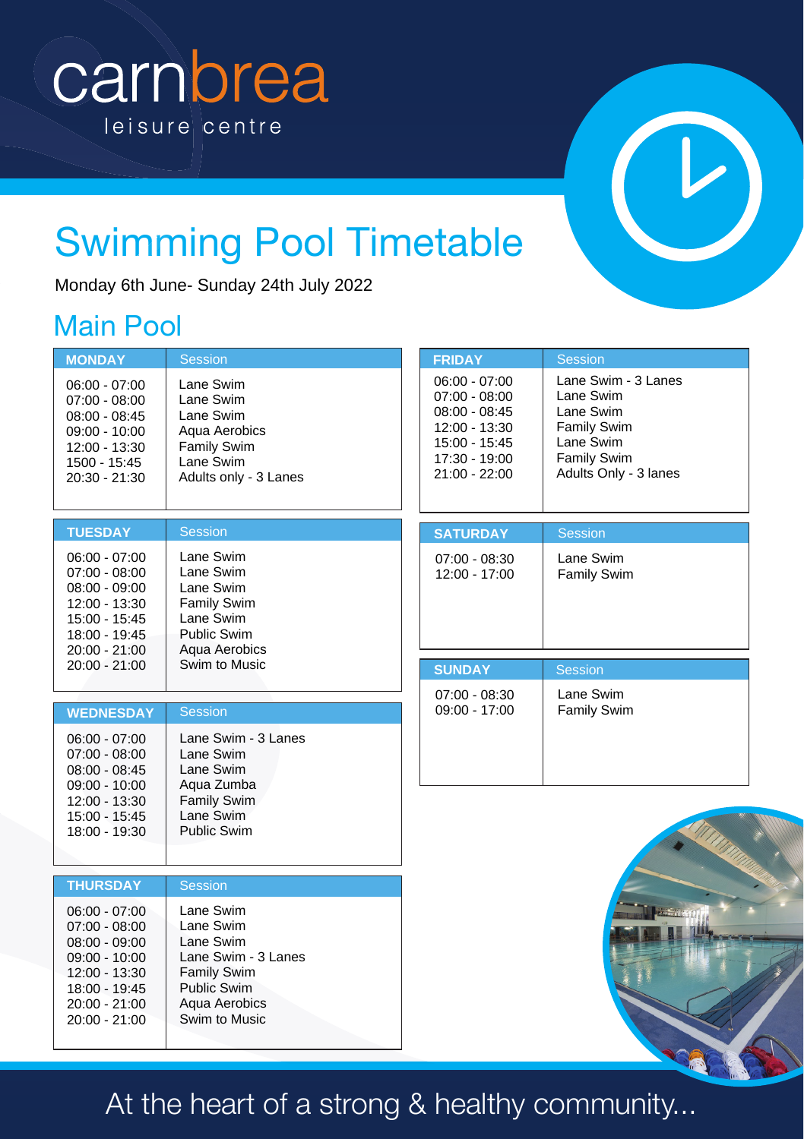# carnbrea leisure centre



# Swimming Pool Timetable

### Main Pool

|                                                                                                                                                | Monday 6th June- Sunday 24th July 2022                                                                                                   |                                                                                                                           |                                                                                                                   |
|------------------------------------------------------------------------------------------------------------------------------------------------|------------------------------------------------------------------------------------------------------------------------------------------|---------------------------------------------------------------------------------------------------------------------------|-------------------------------------------------------------------------------------------------------------------|
| <b>Main Pool</b>                                                                                                                               |                                                                                                                                          |                                                                                                                           |                                                                                                                   |
| <b>MONDAY</b>                                                                                                                                  | <b>Session</b>                                                                                                                           | <b>FRIDAY</b>                                                                                                             | <b>Session</b>                                                                                                    |
| $06:00 - 07:00$<br>$07:00 - 08:00$<br>$08:00 - 08:45$<br>$09:00 - 10:00$<br>12:00 - 13:30<br>1500 - 15:45<br>20:30 - 21:30                     | Lane Swim<br>Lane Swim<br>Lane Swim<br>Aqua Aerobics<br><b>Family Swim</b><br>Lane Swim<br>Adults only - 3 Lanes                         | $06:00 - 07:00$<br>$07:00 - 08:00$<br>$08:00 - 08:45$<br>12:00 - 13:30<br>15:00 - 15:45<br>17:30 - 19:00<br>21:00 - 22:00 | Lane Swim - 3 Lanes<br>Lane Swim<br>Lane Swim<br>Family Swim<br>Lane Swim<br>Family Swim<br>Adults Only - 3 lanes |
| <b>TUESDAY</b>                                                                                                                                 | <b>Session</b>                                                                                                                           | <b>SATURDAY</b>                                                                                                           | <b>Session</b>                                                                                                    |
| $06:00 - 07:00$<br>$07:00 - 08:00$<br>$08:00 - 09:00$<br>12:00 - 13:30<br>15:00 - 15:45<br>18:00 - 19:45<br>$20:00 - 21:00$                    | Lane Swim<br>Lane Swim<br>Lane Swim<br><b>Family Swim</b><br>Lane Swim<br><b>Public Swim</b><br>Aqua Aerobics                            | 07:00 - 08:30<br>12:00 - 17:00                                                                                            | Lane Swim<br><b>Family Swim</b>                                                                                   |
| $20:00 - 21:00$                                                                                                                                | Swim to Music                                                                                                                            | <b>SUNDAY</b>                                                                                                             | <b>Session</b>                                                                                                    |
|                                                                                                                                                |                                                                                                                                          | $07:00 - 08:30$                                                                                                           | Lane Swim                                                                                                         |
| <b>WEDNESDAY</b>                                                                                                                               | <b>Session</b>                                                                                                                           | $09:00 - 17:00$                                                                                                           | <b>Family Swim</b>                                                                                                |
| $06:00 - 07:00$<br>$07:00 - 08:00$<br>$08:00 - 08:45$<br>09:00 - 10:00<br>12:00 - 13:30<br>15:00 - 15:45<br>18:00 - 19:30                      | Lane Swim - 3 Lanes<br>Lane Swim<br>Lane Swim<br>Agua Zumba<br><b>Family Swim</b><br>Lane Swim<br>Public Swim                            |                                                                                                                           |                                                                                                                   |
|                                                                                                                                                |                                                                                                                                          |                                                                                                                           |                                                                                                                   |
| <b>THURSDAY</b>                                                                                                                                | <b>Session</b>                                                                                                                           |                                                                                                                           |                                                                                                                   |
| $06:00 - 07:00$<br>$07:00 - 08:00$<br>$08:00 - 09:00$<br>$09:00 - 10:00$<br>12:00 - 13:30<br>18:00 - 19:45<br>$20:00 - 21:00$<br>20:00 - 21:00 | Lane Swim<br>Lane Swim<br>Lane Swim<br>Lane Swim - 3 Lanes<br><b>Family Swim</b><br><b>Public Swim</b><br>Aqua Aerobics<br>Swim to Music |                                                                                                                           |                                                                                                                   |
|                                                                                                                                                | At the heart of a strong & healthy community                                                                                             |                                                                                                                           |                                                                                                                   |